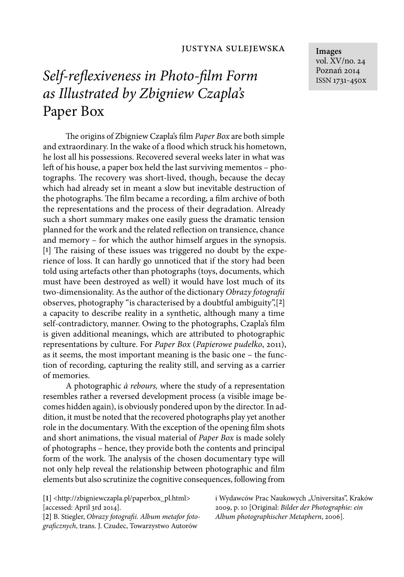## *Self-reflexiveness in Photo-film Form as Illustrated by Zbigniew Czapla's*  Paper Box

The origins of Zbigniew Czapla's film *Paper Box* are both simple and extraordinary. In the wake of a flood which struck his hometown, he lost all his possessions. Recovered several weeks later in what was left of his house, a paper box held the last surviving mementos – photographs. The recovery was short-lived, though, because the decay which had already set in meant a slow but inevitable destruction of the photographs. The film became a recording, a film archive of both the representations and the process of their degradation. Already such a short summary makes one easily guess the dramatic tension planned for the work and the related reflection on transience, chance and memory – for which the author himself argues in the synopsis.  $[1]$  The raising of these issues was triggered no doubt by the experience of loss. It can hardly go unnoticed that if the story had been told using artefacts other than photographs (toys, documents, which must have been destroyed as well) it would have lost much of its two-dimensionality. As the author of the dictionary *Obrazy fotografi i* observes, photography "is characterised by a doubtful ambiguity",[**2**] a capacity to describe reality in a synthetic, although many a time self-contradictory, manner. Owing to the photographs, Czapla's film is given additional meanings, which are attributed to photographic representations by culture. For *Paper Box* (*Papierowe pudełko*, 2011), as it seems, the most important meaning is the basic one – the function of recording, capturing the reality still, and serving as a carrier of memories.

A photographic *à rebours,* where the study of a representation resembles rather a reversed development process (a visible image becomes hidden again), is obviously pondered upon by the director. In addition, it must be noted that the recovered photographs play yet another role in the documentary. With the exception of the opening film shots and short animations, the visual material of *Paper Box* is made solely of photographs – hence, they provide both the contents and principal form of the work. The analysis of the chosen documentary type will not only help reveal the relationship between photographic and film elements but also scrutinize the cognitive consequences, following from

**[1]** <http://zbigniewczapla.pl/paperbox\_pl.html> [accessed: April 3rd 2014].

[2] B. Stiegler, *Obrazy fotografii*. Album metafor foto*grafi cznych*, trans. J. Czudec, Towarzystwo Autorów

i Wydawców Prac Naukowych "Universitas", Kraków 2009, p. 10 [Original: *Bilder der Photographie: ein Album photographischer Metaphern*, 2006].

**Images** vol. XV/no. 24 Poznań 2014 ISSN 1731-450x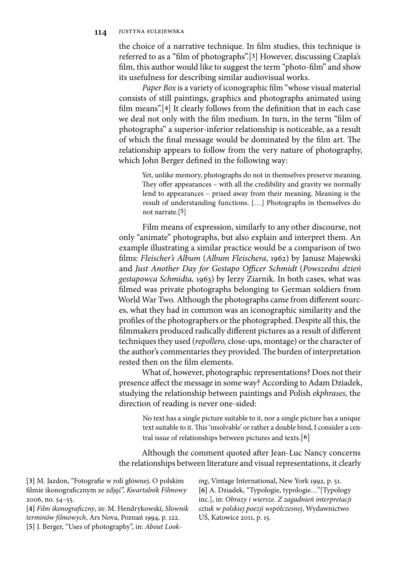## **114** justyna sulejewska

the choice of a narrative technique. In film studies, this technique is referred to as a "film of photographs".[3] However, discussing Czapla's film, this author would like to suggest the term "photo-film" and show its usefulness for describing similar audiovisual works.

Paper Box is a variety of iconographic film "whose visual material consists of still paintings, graphics and photographs animated using film means".<sup>[4]</sup> It clearly follows from the definition that in each case we deal not only with the film medium. In turn, in the term "film of photographs" a superior-inferior relationship is noticeable, as a result of which the final message would be dominated by the film art. The relationship appears to follow from the very nature of photography, which John Berger defined in the following way:

Yet, unlike memory, photographs do not in themselves preserve meaning. They offer appearances – with all the credibility and gravity we normally lend to appearances – prised away from their meaning. Meaning is the result of understanding functions. […] Photographs in themselves do not narrate.[**5**]

Film means of expression, similarly to any other discourse, not only "animate" photographs, but also explain and interpret them. An example illustrating a similar practice would be a comparison of two films: Fleischer's Album (Album Fleischera, 1962) by Janusz Majewski and *Just Another Day for Gestapo Officer Schmidt* (*Powszedni dzień gestapowca Schmidta,* 1963) by Jerzy Ziarnik. In both cases, what was filmed was private photographs belonging to German soldiers from World War Two. Although the photographs came from different sources, what they had in common was an iconographic similarity and the profiles of the photographers or the photographed. Despite all this, the filmmakers produced radically different pictures as a result of different techniques they used (*repollero,* close-ups, montage) or the character of the author's commentaries they provided. The burden of interpretation rested then on the film elements.

What of, however, photographic representations? Does not their presence affect the message in some way? According to Adam Dziadek, studying the relationship between paintings and Polish *ekphrases,* the direction of reading is never one-sided:

No text has a single picture suitable to it, nor a single picture has a unique text suitable to it. This 'insolvable' or rather a double bind, I consider a central issue of relationships between pictures and texts.[**6**]

Although the comment quoted after Jean-Luc Nancy concerns the relationships between literature and visual representations, it clearly

[3] M. Jazdon, "Fotografie w roli głównej. O polskim filmie ikonograficznym ze zdjęć", *Kwartalnik Filmowy* 2006, no. 54–55.

**[4]** *Film ikonografi czny*, in: M. Hendrykowski, *Słow nik terminów fi lmowych*, Ars Nova, Poznań 1994, p. 122. **[5]** J. Berger, "Uses of photography", in: *About Look-* *ing*, Vintage International, New York 1992, p. 51. **[6]** A. Dziadek, "Typologie, typologie…"[Typology inc.], in: *Obrazy i wiersze. Z zagadnień interpretacji sztuk w polskiej poezji współczesnej*, Wydawnictwo UŚ, Katowice 2011, p. 15.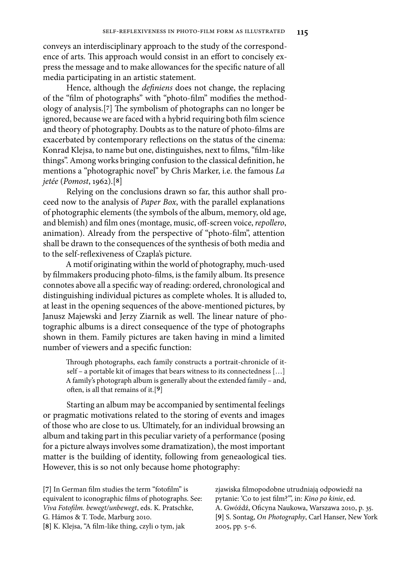conveys an interdisciplinary approach to the study of the correspondence of arts. This approach would consist in an effort to concisely express the message and to make allowances for the specific nature of all media participating in an artistic statement.

Hence, although the *definiens* does not change, the replacing of the "film of photographs" with "photo-film" modifies the methodology of analysis.<sup>[7]</sup> The symbolism of photographs can no longer be ignored, because we are faced with a hybrid requiring both film science and theory of photography. Doubts as to the nature of photo-films are exacerbated by contemporary reflections on the status of the cinema: Konrad Klejsa, to name but one, distinguishes, next to films, "film-like things". Among works bringing confusion to the classical definition, he mentions a "photographic novel" by Chris Marker, i.e. the famous *La jetée* (*Pomost*, 1962).[**8**]

Relying on the conclusions drawn so far, this author shall proceed now to the analysis of *Paper Box*, with the parallel explanations of photographic elements (the symbols of the album, memory, old age, and blemish) and film ones (montage, music, off-screen voice, *repollero*, animation). Already from the perspective of "photo-film", attention shall be drawn to the consequences of the synthesis of both media and to the self-reflexiveness of Czapla's picture.

A motif originating within the world of photography, much-used by filmmakers producing photo-films, is the family album. Its presence connotes above all a specific way of reading: ordered, chronological and distinguishing individual pictures as complete wholes. It is alluded to, at least in the opening sequences of the above-mentioned pictures, by Janusz Majewski and Jerzy Ziarnik as well. The linear nature of photographic albums is a direct consequence of the type of photographs shown in them. Family pictures are taken having in mind a limited number of viewers and a specific function:

Through photographs, each family constructs a portrait-chronicle of itself – a portable kit of images that bears witness to its connectedness […] A family's photograph album is generally about the extended family – and, often, is all that remains of it.<sup>[9]</sup>

Starting an album may be accompanied by sentimental feelings or pragmatic motivations related to the storing of events and images of those who are close to us. Ultimately, for an individual browsing an album and taking part in this peculiar variety of a performance (posing for a picture always involves some dramatization), the most important matter is the building of identity, following from geneaological ties. However, this is so not only because home photography:

[7] In German film studies the term "fotofilm" is equivalent to iconographic films of photographs. See: *Viva Fotofi lm. bewegt/unbewegt*, eds. K. Pratschke, G. Hámos & T. Tode, Marburg 2010. [8] K. Klejsa, "A film-like thing, czyli o tym, jak

zjawiska filmopodobne utrudniają odpowiedź na pytanie: 'Co to jest film?"', in: *Kino po kinie*, ed. A. Gwóźdź, Oficyna Naukowa, Warszawa 2010, p. 35. **[9]** S. Sontag, *On Photography*, Carl Hanser, New York 2005, pp. 5–6.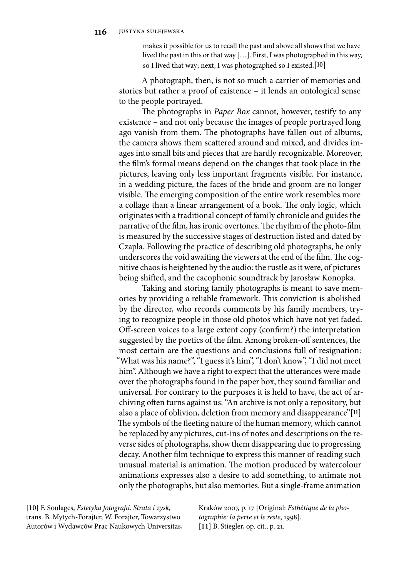makes it possible for us to recall the past and above all shows that we have lived the past in this or that way […]. First, I was photographed in this way, so I lived that way; next, I was photographed so I existed.[**10**]

A photograph, then, is not so much a carrier of memories and stories but rather a proof of existence – it lends an ontological sense to the people portrayed.

The photographs in *Paper Box* cannot, however, testify to any existence – and not only because the images of people portrayed long ago vanish from them. The photographs have fallen out of albums, the camera shows them scattered around and mixed, and divides images into small bits and pieces that are hardly recognizable. Moreover, the film's formal means depend on the changes that took place in the pictures, leaving only less important fragments visible. For instance, in a wedding picture, the faces of the bride and groom are no longer visible. The emerging composition of the entire work resembles more a collage than a linear arrangement of a book. The only logic, which originates with a traditional concept of family chronicle and guides the narrative of the film, has ironic overtones. The rhythm of the photo-film is measured by the successive stages of destruction listed and dated by Czapla. Following the practice of describing old photographs, he only underscores the void awaiting the viewers at the end of the film. The cognitive chaos is heightened by the audio: the rustle as it were, of pictures being shifted, and the cacophonic soundtrack by Jarosław Konopka.

Taking and storing family photographs is meant to save memories by providing a reliable framework. This conviction is abolished by the director, who records comments by his family members, trying to recognize people in those old photos which have not yet faded. Off-screen voices to a large extent copy (confirm?) the interpretation suggested by the poetics of the film. Among broken-off sentences, the most certain are the questions and conclusions full of resignation: "What was his name?", "I guess it's him", "I don't know", "I did not meet him". Although we have a right to expect that the utterances were made over the photographs found in the paper box, they sound familiar and universal. For contrary to the purposes it is held to have, the act of archiving often turns against us: "An archive is not only a repository, but also a place of oblivion, deletion from memory and disappearance"[**11**] The symbols of the fleeting nature of the human memory, which cannot be replaced by any pictures, cut-ins of notes and descriptions on the reverse sides of photographs, show them disappearing due to progressing decay. Another film technique to express this manner of reading such unusual material is animation. The motion produced by watercolour animations expresses also a desire to add something, to animate not only the photographs, but also memories. But a single-frame animation

**[10]** F. Soulages, *Estetyka fotografi i. Strata i zysk*, trans. B. Mytych-Forajter, W. Forajter, Towarzystwo Autorów i Wydawców Prac Naukowych Universitas, Kraków 2007, p. 17 [Original: *Esthétique de la photographie: la perte et le reste*, 1998]. **[11]** B. Stiegler, op. cit., p. 21.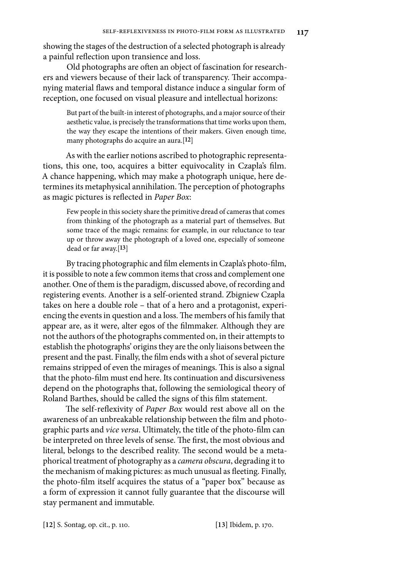showing the stages of the destruction of a selected photograph is already a painful reflection upon transience and loss.

Old photographs are often an object of fascination for researchers and viewers because of their lack of transparency. Their accompanying material flaws and temporal distance induce a singular form of reception, one focused on visual pleasure and intellectual horizons:

But part of the built-in interest of photographs, and a major source of their aesthetic value, is precisely the transformations that time works upon them, the way they escape the intentions of their makers. Given enough time, many photographs do acquire an aura.[**12**]

As with the earlier notions ascribed to photographic representations, this one, too, acquires a bitter equivocality in Czapla's film. A chance happening, which may make a photograph unique, here determines its metaphysical annihilation. The perception of photographs as magic pictures is reflected in *Paper Box*:

Few people in this society share the primitive dread of cameras that comes from thinking of the photograph as a material part of themselves. But some trace of the magic remains: for example, in our reluctance to tear up or throw away the photograph of a loved one, especially of someone dead or far away.[**13**]

By tracing photographic and film elements in Czapla's photo-film, it is possible to note a few common items that cross and complement one another. One of them is the paradigm, discussed above, of recording and registering events. Another is a self-oriented strand. Zbigniew Czapla takes on here a double role – that of a hero and a protagonist, experiencing the events in question and a loss. The members of his family that appear are, as it were, alter egos of the filmmaker. Although they are not the authors of the photographs commented on, in their attempts to establish the photographs' origins they are the only liaisons between the present and the past. Finally, the film ends with a shot of several picture remains stripped of even the mirages of meanings. This is also a signal that the photo-film must end here. Its continuation and discursiveness depend on the photographs that, following the semiological theory of Roland Barthes, should be called the signs of this film statement.

The self-reflexivity of *Paper Box* would rest above all on the awareness of an unbreakable relationship between the film and photographic parts and *vice versa*. Ultimately, the title of the photo-film can be interpreted on three levels of sense. The first, the most obvious and literal, belongs to the described reality. The second would be a metaphorical treatment of photography as a *camera obscura*, degrading it to the mechanism of making pictures: as much unusual as fleeting. Finally, the photo-film itself acquires the status of a "paper box" because as a form of expression it cannot fully guarantee that the discourse will stay permanent and immutable.

**[12]** S. Sontag, op. cit., p. 110. **[13]** Ibidem, p. 170.